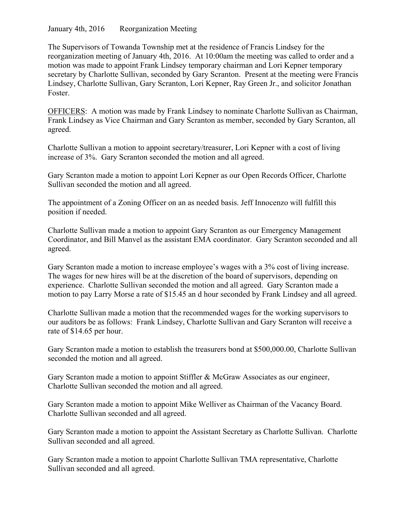January 4th, 2016 Reorganization Meeting

The Supervisors of Towanda Township met at the residence of Francis Lindsey for the reorganization meeting of January 4th, 2016. At 10:00am the meeting was called to order and a motion was made to appoint Frank Lindsey temporary chairman and Lori Kepner temporary secretary by Charlotte Sullivan, seconded by Gary Scranton. Present at the meeting were Francis Lindsey, Charlotte Sullivan, Gary Scranton, Lori Kepner, Ray Green Jr., and solicitor Jonathan Foster.

OFFICERS: A motion was made by Frank Lindsey to nominate Charlotte Sullivan as Chairman, Frank Lindsey as Vice Chairman and Gary Scranton as member, seconded by Gary Scranton, all agreed.

Charlotte Sullivan a motion to appoint secretary/treasurer, Lori Kepner with a cost of living increase of 3%. Gary Scranton seconded the motion and all agreed.

Gary Scranton made a motion to appoint Lori Kepner as our Open Records Officer, Charlotte Sullivan seconded the motion and all agreed.

The appointment of a Zoning Officer on an as needed basis. Jeff Innocenzo will fulfill this position if needed.

Charlotte Sullivan made a motion to appoint Gary Scranton as our Emergency Management Coordinator, and Bill Manvel as the assistant EMA coordinator. Gary Scranton seconded and all agreed.

Gary Scranton made a motion to increase employee's wages with a 3% cost of living increase. The wages for new hires will be at the discretion of the board of supervisors, depending on experience. Charlotte Sullivan seconded the motion and all agreed. Gary Scranton made a motion to pay Larry Morse a rate of \$15.45 an d hour seconded by Frank Lindsey and all agreed.

Charlotte Sullivan made a motion that the recommended wages for the working supervisors to our auditors be as follows: Frank Lindsey, Charlotte Sullivan and Gary Scranton will receive a rate of \$14.65 per hour.

Gary Scranton made a motion to establish the treasurers bond at \$500,000.00, Charlotte Sullivan seconded the motion and all agreed.

Gary Scranton made a motion to appoint Stiffler & McGraw Associates as our engineer, Charlotte Sullivan seconded the motion and all agreed.

Gary Scranton made a motion to appoint Mike Welliver as Chairman of the Vacancy Board. Charlotte Sullivan seconded and all agreed.

Gary Scranton made a motion to appoint the Assistant Secretary as Charlotte Sullivan. Charlotte Sullivan seconded and all agreed.

Gary Scranton made a motion to appoint Charlotte Sullivan TMA representative, Charlotte Sullivan seconded and all agreed.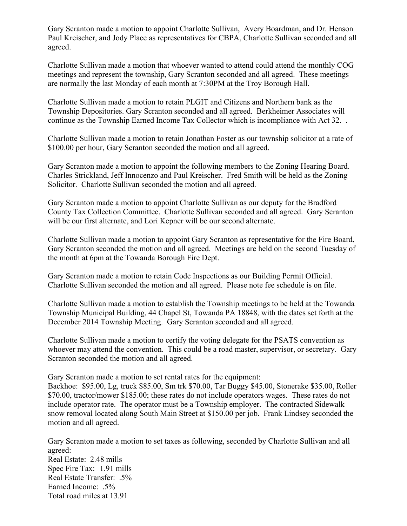Gary Scranton made a motion to appoint Charlotte Sullivan, Avery Boardman, and Dr. Henson Paul Kreischer, and Jody Place as representatives for CBPA, Charlotte Sullivan seconded and all agreed.

Charlotte Sullivan made a motion that whoever wanted to attend could attend the monthly COG meetings and represent the township, Gary Scranton seconded and all agreed. These meetings are normally the last Monday of each month at 7:30PM at the Troy Borough Hall.

Charlotte Sullivan made a motion to retain PLGIT and Citizens and Northern bank as the Township Depositories. Gary Scranton seconded and all agreed. Berkheimer Associates will continue as the Township Earned Income Tax Collector which is incompliance with Act 32. .

Charlotte Sullivan made a motion to retain Jonathan Foster as our township solicitor at a rate of \$100.00 per hour, Gary Scranton seconded the motion and all agreed.

Gary Scranton made a motion to appoint the following members to the Zoning Hearing Board. Charles Strickland, Jeff Innocenzo and Paul Kreischer. Fred Smith will be held as the Zoning Solicitor. Charlotte Sullivan seconded the motion and all agreed.

Gary Scranton made a motion to appoint Charlotte Sullivan as our deputy for the Bradford County Tax Collection Committee. Charlotte Sullivan seconded and all agreed. Gary Scranton will be our first alternate, and Lori Kepner will be our second alternate.

Charlotte Sullivan made a motion to appoint Gary Scranton as representative for the Fire Board, Gary Scranton seconded the motion and all agreed. Meetings are held on the second Tuesday of the month at 6pm at the Towanda Borough Fire Dept.

Gary Scranton made a motion to retain Code Inspections as our Building Permit Official. Charlotte Sullivan seconded the motion and all agreed. Please note fee schedule is on file.

Charlotte Sullivan made a motion to establish the Township meetings to be held at the Towanda Township Municipal Building, 44 Chapel St, Towanda PA 18848, with the dates set forth at the December 2014 Township Meeting. Gary Scranton seconded and all agreed.

Charlotte Sullivan made a motion to certify the voting delegate for the PSATS convention as whoever may attend the convention. This could be a road master, supervisor, or secretary. Gary Scranton seconded the motion and all agreed.

Gary Scranton made a motion to set rental rates for the equipment:

Backhoe: \$95.00, Lg, truck \$85.00, Sm trk \$70.00, Tar Buggy \$45.00, Stonerake \$35.00, Roller \$70.00, tractor/mower \$185.00; these rates do not include operators wages. These rates do not include operator rate. The operator must be a Township employer. The contracted Sidewalk snow removal located along South Main Street at \$150.00 per job. Frank Lindsey seconded the motion and all agreed.

Gary Scranton made a motion to set taxes as following, seconded by Charlotte Sullivan and all agreed: Real Estate: 2.48 mills Spec Fire Tax: 1.91 mills Real Estate Transfer: .5% Earned Income: .5% Total road miles at 13.91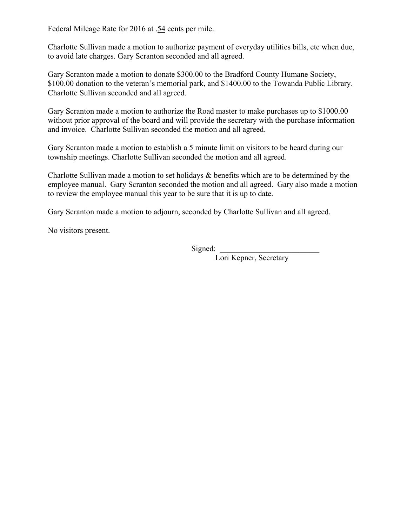Federal Mileage Rate for 2016 at .54 cents per mile.

Charlotte Sullivan made a motion to authorize payment of everyday utilities bills, etc when due, to avoid late charges. Gary Scranton seconded and all agreed.

Gary Scranton made a motion to donate \$300.00 to the Bradford County Humane Society, \$100.00 donation to the veteran's memorial park, and \$1400.00 to the Towanda Public Library. Charlotte Sullivan seconded and all agreed.

Gary Scranton made a motion to authorize the Road master to make purchases up to \$1000.00 without prior approval of the board and will provide the secretary with the purchase information and invoice. Charlotte Sullivan seconded the motion and all agreed.

Gary Scranton made a motion to establish a 5 minute limit on visitors to be heard during our township meetings. Charlotte Sullivan seconded the motion and all agreed.

Charlotte Sullivan made a motion to set holidays & benefits which are to be determined by the employee manual. Gary Scranton seconded the motion and all agreed. Gary also made a motion to review the employee manual this year to be sure that it is up to date.

Gary Scranton made a motion to adjourn, seconded by Charlotte Sullivan and all agreed.

No visitors present.

 $Signed:$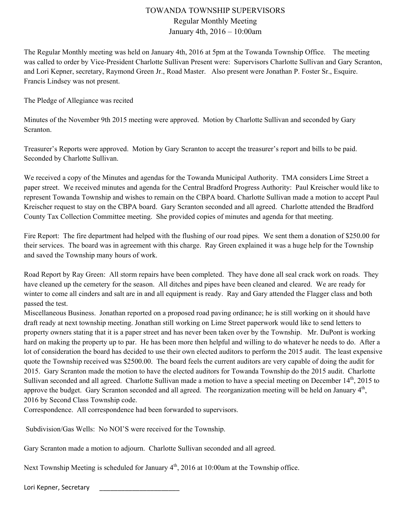### Regular Monthly Meeting January 4th, 2016 – 10:00am

The Regular Monthly meeting was held on January 4th, 2016 at 5pm at the Towanda Township Office. The meeting was called to order by Vice-President Charlotte Sullivan Present were: Supervisors Charlotte Sullivan and Gary Scranton, and Lori Kepner, secretary, Raymond Green Jr., Road Master. Also present were Jonathan P. Foster Sr., Esquire. Francis Lindsey was not present.

The Pledge of Allegiance was recited

Minutes of the November 9th 2015 meeting were approved. Motion by Charlotte Sullivan and seconded by Gary Scranton.

Treasurer's Reports were approved. Motion by Gary Scranton to accept the treasurer's report and bills to be paid. Seconded by Charlotte Sullivan.

We received a copy of the Minutes and agendas for the Towanda Municipal Authority. TMA considers Lime Street a paper street. We received minutes and agenda for the Central Bradford Progress Authority: Paul Kreischer would like to represent Towanda Township and wishes to remain on the CBPA board. Charlotte Sullivan made a motion to accept Paul Kreischer request to stay on the CBPA board. Gary Scranton seconded and all agreed. Charlotte attended the Bradford County Tax Collection Committee meeting. She provided copies of minutes and agenda for that meeting.

Fire Report: The fire department had helped with the flushing of our road pipes. We sent them a donation of \$250.00 for their services. The board was in agreement with this charge. Ray Green explained it was a huge help for the Township and saved the Township many hours of work.

Road Report by Ray Green: All storm repairs have been completed. They have done all seal crack work on roads. They have cleaned up the cemetery for the season. All ditches and pipes have been cleaned and cleared. We are ready for winter to come all cinders and salt are in and all equipment is ready. Ray and Gary attended the Flagger class and both passed the test.

Miscellaneous Business. Jonathan reported on a proposed road paving ordinance; he is still working on it should have draft ready at next township meeting. Jonathan still working on Lime Street paperwork would like to send letters to property owners stating that it is a paper street and has never been taken over by the Township. Mr. DuPont is working hard on making the property up to par. He has been more then helpful and willing to do whatever he needs to do. After a lot of consideration the board has decided to use their own elected auditors to perform the 2015 audit. The least expensive quote the Township received was \$2500.00. The board feels the current auditors are very capable of doing the audit for 2015. Gary Scranton made the motion to have the elected auditors for Towanda Township do the 2015 audit. Charlotte Sullivan seconded and all agreed. Charlotte Sullivan made a motion to have a special meeting on December 14<sup>th</sup>, 2015 to approve the budget. Gary Scranton seconded and all agreed. The reorganization meeting will be held on January 4<sup>th</sup>, 2016 by Second Class Township code.

Correspondence. All correspondence had been forwarded to supervisors.

Subdivision/Gas Wells: No NOI'S were received for the Township.

Gary Scranton made a motion to adjourn. Charlotte Sullivan seconded and all agreed.

Next Township Meeting is scheduled for January  $4<sup>th</sup>$ , 2016 at 10:00am at the Township office.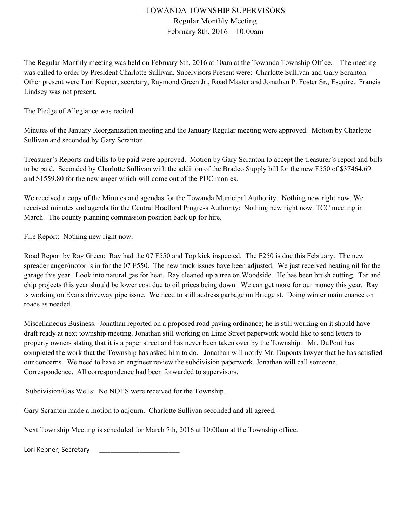Regular Monthly Meeting February 8th, 2016 – 10:00am

The Regular Monthly meeting was held on February 8th, 2016 at 10am at the Towanda Township Office. The meeting was called to order by President Charlotte Sullivan. Supervisors Present were: Charlotte Sullivan and Gary Scranton. Other present were Lori Kepner, secretary, Raymond Green Jr., Road Master and Jonathan P. Foster Sr., Esquire. Francis Lindsey was not present.

The Pledge of Allegiance was recited

Minutes of the January Reorganization meeting and the January Regular meeting were approved. Motion by Charlotte Sullivan and seconded by Gary Scranton.

Treasurer's Reports and bills to be paid were approved. Motion by Gary Scranton to accept the treasurer's report and bills to be paid. Seconded by Charlotte Sullivan with the addition of the Bradco Supply bill for the new F550 of \$37464.69 and \$1559.80 for the new auger which will come out of the PUC monies.

We received a copy of the Minutes and agendas for the Towanda Municipal Authority. Nothing new right now. We received minutes and agenda for the Central Bradford Progress Authority: Nothing new right now. TCC meeting in March. The county planning commission position back up for hire.

Fire Report: Nothing new right now.

Road Report by Ray Green: Ray had the 07 F550 and Top kick inspected. The F250 is due this February. The new spreader auger/motor is in for the 07 F550. The new truck issues have been adjusted. We just received heating oil for the garage this year. Look into natural gas for heat. Ray cleaned up a tree on Woodside. He has been brush cutting. Tar and chip projects this year should be lower cost due to oil prices being down. We can get more for our money this year. Ray is working on Evans driveway pipe issue. We need to still address garbage on Bridge st. Doing winter maintenance on roads as needed.

Miscellaneous Business. Jonathan reported on a proposed road paving ordinance; he is still working on it should have draft ready at next township meeting. Jonathan still working on Lime Street paperwork would like to send letters to property owners stating that it is a paper street and has never been taken over by the Township. Mr. DuPont has completed the work that the Township has asked him to do. Jonathan will notify Mr. Duponts lawyer that he has satisfied our concerns. We need to have an engineer review the subdivision paperwork, Jonathan will call someone. Correspondence. All correspondence had been forwarded to supervisors.

Subdivision/Gas Wells: No NOI'S were received for the Township.

Gary Scranton made a motion to adjourn. Charlotte Sullivan seconded and all agreed.

Next Township Meeting is scheduled for March 7th, 2016 at 10:00am at the Township office.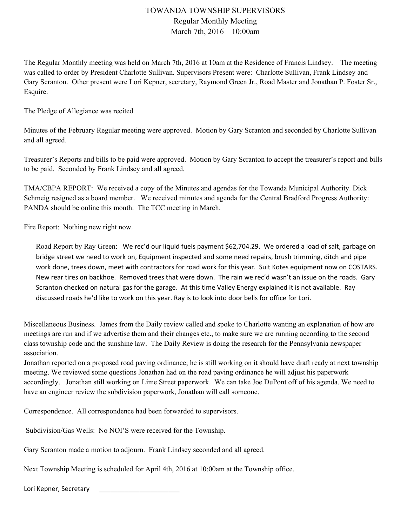Regular Monthly Meeting March 7th, 2016 – 10:00am

The Regular Monthly meeting was held on March 7th, 2016 at 10am at the Residence of Francis Lindsey. The meeting was called to order by President Charlotte Sullivan. Supervisors Present were: Charlotte Sullivan, Frank Lindsey and Gary Scranton. Other present were Lori Kepner, secretary, Raymond Green Jr., Road Master and Jonathan P. Foster Sr., Esquire.

The Pledge of Allegiance was recited

Minutes of the February Regular meeting were approved. Motion by Gary Scranton and seconded by Charlotte Sullivan and all agreed.

Treasurer's Reports and bills to be paid were approved. Motion by Gary Scranton to accept the treasurer's report and bills to be paid. Seconded by Frank Lindsey and all agreed.

TMA/CBPA REPORT: We received a copy of the Minutes and agendas for the Towanda Municipal Authority. Dick Schmeig resigned as a board member. We received minutes and agenda for the Central Bradford Progress Authority: PANDA should be online this month. The TCC meeting in March.

Fire Report: Nothing new right now.

Road Report by Ray Green: We rec'd our liquid fuels payment \$62,704.29. We ordered a load of salt, garbage on bridge street we need to work on, Equipment inspected and some need repairs, brush trimming, ditch and pipe work done, trees down, meet with contractors for road work for this year. Suit Kotes equipment now on COSTARS. New rear tires on backhoe. Removed trees that were down. The rain we rec'd wasn't an issue on the roads. Gary Scranton checked on natural gas for the garage. At this time Valley Energy explained it is not available. Ray discussed roads he'd like to work on this year. Ray is to look into door bells for office for Lori.

Miscellaneous Business. James from the Daily review called and spoke to Charlotte wanting an explanation of how are meetings are run and if we advertise them and their changes etc., to make sure we are running according to the second class township code and the sunshine law. The Daily Review is doing the research for the Pennsylvania newspaper association.

Jonathan reported on a proposed road paving ordinance; he is still working on it should have draft ready at next township meeting. We reviewed some questions Jonathan had on the road paving ordinance he will adjust his paperwork accordingly. Jonathan still working on Lime Street paperwork. We can take Joe DuPont off of his agenda. We need to have an engineer review the subdivision paperwork, Jonathan will call someone.

Correspondence. All correspondence had been forwarded to supervisors.

Subdivision/Gas Wells: No NOI'S were received for the Township.

Gary Scranton made a motion to adjourn. Frank Lindsey seconded and all agreed.

Next Township Meeting is scheduled for April 4th, 2016 at 10:00am at the Township office.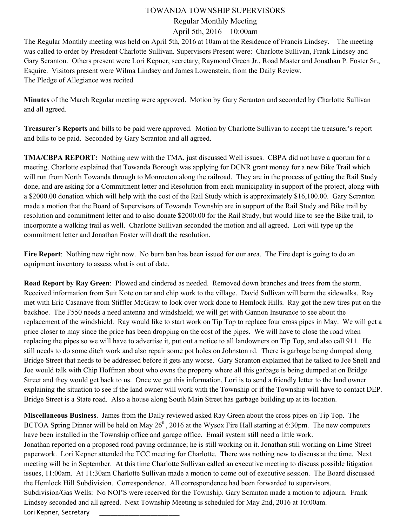## Regular Monthly Meeting April 5th, 2016 – 10:00am

The Regular Monthly meeting was held on April 5th, 2016 at 10am at the Residence of Francis Lindsey. The meeting was called to order by President Charlotte Sullivan. Supervisors Present were: Charlotte Sullivan, Frank Lindsey and Gary Scranton. Others present were Lori Kepner, secretary, Raymond Green Jr., Road Master and Jonathan P. Foster Sr., Esquire. Visitors present were Wilma Lindsey and James Lowenstein, from the Daily Review. The Pledge of Allegiance was recited

**Minutes** of the March Regular meeting were approved. Motion by Gary Scranton and seconded by Charlotte Sullivan and all agreed.

**Treasurer's Reports** and bills to be paid were approved. Motion by Charlotte Sullivan to accept the treasurer's report and bills to be paid. Seconded by Gary Scranton and all agreed.

**TMA/CBPA REPORT:** Nothing new with the TMA, just discussed Well issues. CBPA did not have a quorum for a meeting. Charlotte explained that Towanda Borough was applying for DCNR grant money for a new Bike Trail which will run from North Towanda through to Monroeton along the railroad. They are in the process of getting the Rail Study done, and are asking for a Commitment letter and Resolution from each municipality in support of the project, along with a \$2000.00 donation which will help with the cost of the Rail Study which is approximately \$16,100.00. Gary Scranton made a motion that the Board of Supervisors of Towanda Township are in support of the Rail Study and Bike trail by resolution and commitment letter and to also donate \$2000.00 for the Rail Study, but would like to see the Bike trail, to incorporate a walking trail as well. Charlotte Sullivan seconded the motion and all agreed. Lori will type up the commitment letter and Jonathan Foster will draft the resolution.

**Fire Report**: Nothing new right now. No burn ban has been issued for our area. The Fire dept is going to do an equipment inventory to assess what is out of date.

**Road Report by Ray Green**: Plowed and cindered as needed. Removed down branches and trees from the storm. Received information from Suit Kote on tar and chip work to the village. David Sullivan will berm the sidewalks. Ray met with Eric Casanave from Stiffler McGraw to look over work done to Hemlock Hills. Ray got the new tires put on the backhoe. The F550 needs a need antenna and windshield; we will get with Gannon Insurance to see about the replacement of the windshield. Ray would like to start work on Tip Top to replace four cross pipes in May. We will get a price closer to may since the price has been dropping on the cost of the pipes. We will have to close the road when replacing the pipes so we will have to advertise it, put out a notice to all landowners on Tip Top, and also call 911. He still needs to do some ditch work and also repair some pot holes on Johnston rd. There is garbage being dumped along Bridge Street that needs to be addressed before it gets any worse. Gary Scranton explained that he talked to Joe Snell and Joe would talk with Chip Hoffman about who owns the property where all this garbage is being dumped at on Bridge Street and they would get back to us. Once we get this information, Lori is to send a friendly letter to the land owner explaining the situation to see if the land owner will work with the Township or if the Township will have to contact DEP. Bridge Street is a State road. Also a house along South Main Street has garbage building up at its location.

**Miscellaneous Business**. James from the Daily reviewed asked Ray Green about the cross pipes on Tip Top. The BCTOA Spring Dinner will be held on May  $26<sup>th</sup>$ , 2016 at the Wysox Fire Hall starting at 6:30pm. The new computers have been installed in the Township office and garage office. Email system still need a little work. Jonathan reported on a proposed road paving ordinance; he is still working on it. Jonathan still working on Lime Street paperwork. Lori Kepner attended the TCC meeting for Charlotte. There was nothing new to discuss at the time. Next meeting will be in September. At this time Charlotte Sullivan called an executive meeting to discuss possible litigation issues, 11:00am. At 11:30am Charlotte Sullivan made a motion to come out of executive session. The Board discussed the Hemlock Hill Subdivision. Correspondence. All correspondence had been forwarded to supervisors. Subdivision/Gas Wells: No NOI'S were received for the Township. Gary Scranton made a motion to adjourn. Frank Lindsey seconded and all agreed. Next Township Meeting is scheduled for May 2nd, 2016 at 10:00am. Lori Kepner, Secretary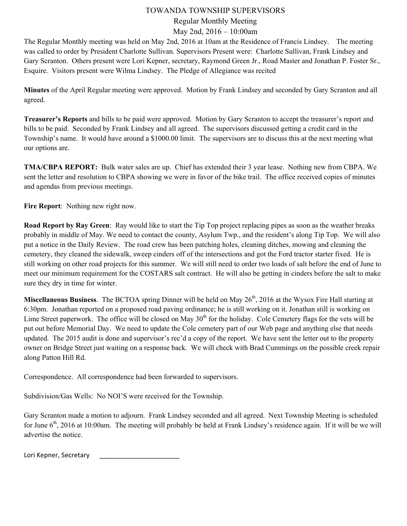# Regular Monthly Meeting

May 2nd, 2016 – 10:00am

The Regular Monthly meeting was held on May 2nd, 2016 at 10am at the Residence of Francis Lindsey. The meeting was called to order by President Charlotte Sullivan. Supervisors Present were: Charlotte Sullivan, Frank Lindsey and Gary Scranton. Others present were Lori Kepner, secretary, Raymond Green Jr., Road Master and Jonathan P. Foster Sr., Esquire. Visitors present were Wilma Lindsey. The Pledge of Allegiance was recited

**Minutes** of the April Regular meeting were approved. Motion by Frank Lindsey and seconded by Gary Scranton and all agreed.

**Treasurer's Reports** and bills to be paid were approved. Motion by Gary Scranton to accept the treasurer's report and bills to be paid. Seconded by Frank Lindsey and all agreed. The supervisors discussed getting a credit card in the Township's name. It would have around a \$1000.00 limit. The supervisors are to discuss this at the next meeting what our options are.

**TMA/CBPA REPORT:** Bulk water sales are up. Chief has extended their 3 year lease. Nothing new from CBPA. We sent the letter and resolution to CBPA showing we were in favor of the bike trail. The office received copies of minutes and agendas from previous meetings.

**Fire Report**: Nothing new right now.

**Road Report by Ray Green**: Ray would like to start the Tip Top project replacing pipes as soon as the weather breaks probably in middle of May. We need to contact the county, Asylum Twp., and the resident's along Tip Top. We will also put a notice in the Daily Review. The road crew has been patching holes, cleaning ditches, mowing and cleaning the cemetery, they cleaned the sidewalk, sweep cinders off of the intersections and got the Ford tractor starter fixed. He is still working on other road projects for this summer. We will still need to order two loads of salt before the end of June to meet our minimum requirement for the COSTARS salt contract. He will also be getting in cinders before the salt to make sure they dry in time for winter.

**Miscellaneous Business**. The BCTOA spring Dinner will be held on May 26<sup>th</sup>, 2016 at the Wysox Fire Hall starting at 6:30pm. Jonathan reported on a proposed road paving ordinance; he is still working on it. Jonathan still is working on Lime Street paperwork. The office will be closed on May  $30<sup>th</sup>$  for the holiday. Cole Cemetery flags for the vets will be put out before Memorial Day. We need to update the Cole cemetery part of our Web page and anything else that needs updated. The 2015 audit is done and supervisor's rec'd a copy of the report. We have sent the letter out to the property owner on Bridge Street just waiting on a response back. We will check with Brad Cummings on the possible creek repair along Patton Hill Rd.

Correspondence. All correspondence had been forwarded to supervisors.

Subdivision/Gas Wells: No NOI'S were received for the Township.

Gary Scranton made a motion to adjourn. Frank Lindsey seconded and all agreed. Next Township Meeting is scheduled for June  $6<sup>th</sup>$ , 2016 at 10:00am. The meeting will probably be held at Frank Lindsey's residence again. If it will be we will advertise the notice.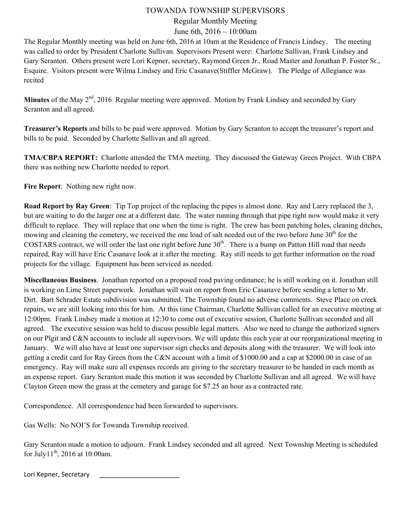# Regular Monthly Meeting

## June 6th, 2016 – 10:00am

The Regular Monthly meeting was held on June 6th, 2016 at 10am at the Residence of Francis Lindsey. The meeting was called to order by President Charlotte Sullivan. Supervisors Present were: Charlotte Sullivan, Frank Lindsey and Gary Scranton. Others present were Lori Kepner, secretary, Raymond Green Jr., Road Master and Jonathan P. Foster Sr., Esquire. Visitors present were Wilma Lindsey and Eric Casanave(Stiffler McGraw). The Pledge of Allegiance was recited

**Minutes** of the May 2<sup>nd</sup>, 2016 Regular meeting were approved. Motion by Frank Lindsey and seconded by Gary Scranton and all agreed.

**Treasurer's Reports** and bills to be paid were approved. Motion by Gary Scranton to accept the treasurer's report and bills to be paid. Seconded by Charlotte Sullivan and all agreed.

**TMA/CBPA REPORT:** Charlotte attended the TMA meeting. They discussed the Gateway Green Project. With CBPA there was nothing new Charlotte needed to report.

**Fire Report**: Nothing new right now.

**Road Report by Ray Green**: Tip Top project of the replacing the pipes is almost done. Ray and Larry replaced the 3, but are waiting to do the larger one at a different date. The water running through that pipe right now would make it very difficult to replace. They will replace that one when the time is right. The crew has been patching holes, cleaning ditches, mowing and cleaning the cemetery, we received the one load of salt needed out of the two before June 30<sup>th</sup> for the COSTARS contract, we will order the last one right before June  $30<sup>th</sup>$ . There is a bump on Patton Hill road that needs repaired, Ray will have Eric Casanave look at it after the meeting. Ray still needs to get further information on the road projects for the village. Equipment has been serviced as needed.

**Miscellaneous Business**. Jonathan reported on a proposed road paving ordinance; he is still working on it. Jonathan still is working on Lime Street paperwork. Jonathan will wait on report from Eric Casanave before sending a letter to Mr. Dirt. Bart Schrader Estate subdivision was submitted. The Township found no adverse comments. Steve Place on creek repairs, we are still looking into this for him. At this time Chairman, Charlotte Sullivan called for an executive meeting at 12:00pm. Frank Lindsey made a motion at 12:30 to come out of executive session, Charlotte Sullivan seconded and all agreed. The executive session was held to discuss possible legal matters. Also we need to change the authorized signers on our Plgit and C&N accounts to include all supervisors. We will update this each year at our reorganizational meeting in January. We will also have at least one supervisor sign checks and deposits along with the treasurer. We will look into getting a credit card for Ray Green from the C&N account with a limit of \$1000.00 and a cap at \$2000.00 in case of an emergency. Ray will make sure all expenses records are giving to the secretary treasurer to be handed in each month as an expense report. Gary Scranton made this motion it was seconded by Charlotte Sullivan and all agreed. We will have Clayton Green mow the grass at the cemetery and garage for \$7.25 an hour as a contracted rate.

Correspondence. All correspondence had been forwarded to supervisors.

Gas Wells: No NOI'S for Towanda Township received.

Gary Scranton made a motion to adjourn. Frank Lindsey seconded and all agreed. Next Township Meeting is scheduled for July $11^{th}$ , 2016 at 10:00am.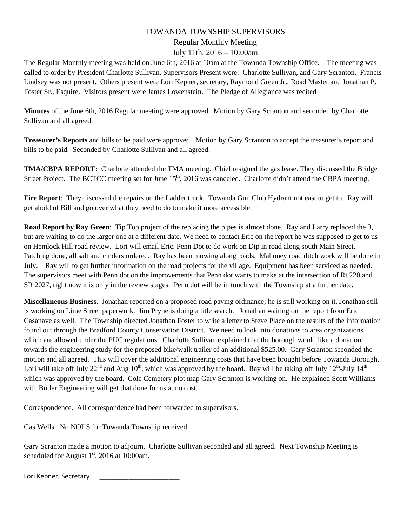## Regular Monthly Meeting July 11th, 2016 – 10:00am

The Regular Monthly meeting was held on June 6th, 2016 at 10am at the Towanda Township Office. The meeting was called to order by President Charlotte Sullivan. Supervisors Present were: Charlotte Sullivan, and Gary Scranton. Francis Lindsey was not present. Others present were Lori Kepner, secretary, Raymond Green Jr., Road Master and Jonathan P. Foster Sr., Esquire. Visitors present were James Lowenstein. The Pledge of Allegiance was recited

**Minutes** of the June 6th, 2016 Regular meeting were approved. Motion by Gary Scranton and seconded by Charlotte Sullivan and all agreed.

**Treasurer's Reports** and bills to be paid were approved. Motion by Gary Scranton to accept the treasurer's report and bills to be paid. Seconded by Charlotte Sullivan and all agreed.

**TMA/CBPA REPORT:** Charlotte attended the TMA meeting. Chief resigned the gas lease. They discussed the Bridge Street Project. The BCTCC meeting set for June 15<sup>th</sup>, 2016 was canceled. Charlotte didn't attend the CBPA meeting.

**Fire Report**: They discussed the repairs on the Ladder truck. Towanda Gun Club Hydrant not east to get to. Ray will get ahold of Bill and go over what they need to do to make it more accessible.

**Road Report by Ray Green**: Tip Top project of the replacing the pipes is almost done. Ray and Larry replaced the 3, but are waiting to do the larger one at a different date. We need to contact Eric on the report he was supposed to get to us on Hemlock Hill road review. Lori will email Eric. Penn Dot to do work on Dip in road along south Main Street. Patching done, all salt and cinders ordered. Ray has been mowing along roads. Mahoney road ditch work will be done in July. Ray will to get further information on the road projects for the village. Equipment has been serviced as needed. The supervisors meet with Penn dot on the improvements that Penn dot wants to make at the intersection of Rt 220 and SR 2027, right now it is only in the review stages. Penn dot will be in touch with the Township at a further date.

**Miscellaneous Business**. Jonathan reported on a proposed road paving ordinance; he is still working on it. Jonathan still is working on Lime Street paperwork. Jim Pryne is doing a title search. Jonathan waiting on the report from Eric Casanave as well. The Township directed Jonathan Foster to write a letter to Steve Place on the results of the information found out through the Bradford County Conservation District. We need to look into donations to area organizations which are allowed under the PUC regulations. Charlotte Sullivan explained that the borough would like a donation towards the engineering study for the proposed bike/walk trailer of an additional \$525.00. Gary Scranton seconded the motion and all agreed. This will cover the additional engineering costs that have been brought before Towanda Borough. Lori will take off July  $22^{nd}$  and Aug  $10^{th}$ , which was approved by the board. Ray will be taking off July  $12^{th}$ -July  $14^{th}$ which was approved by the board. Cole Cemetery plot map Gary Scranton is working on. He explained Scott Williams with Butler Engineering will get that done for us at no cost.

Correspondence. All correspondence had been forwarded to supervisors.

Gas Wells: No NOI'S for Towanda Township received.

Gary Scranton made a motion to adjourn. Charlotte Sullivan seconded and all agreed. Next Township Meeting is scheduled for August  $1<sup>st</sup>$ , 2016 at 10:00am.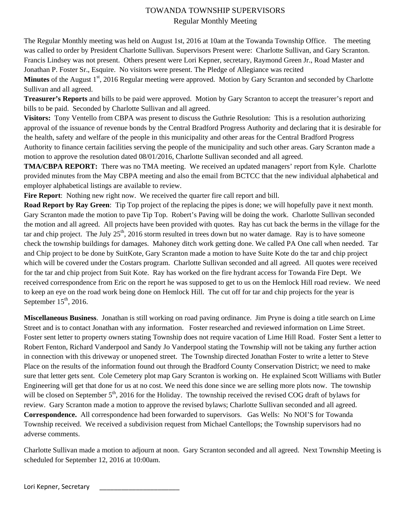# TOWANDA TOWNSHIP SUPERVISORS Regular Monthly Meeting

The Regular Monthly meeting was held on August 1st, 2016 at 10am at the Towanda Township Office. The meeting was called to order by President Charlotte Sullivan. Supervisors Present were: Charlotte Sullivan, and Gary Scranton. Francis Lindsey was not present. Others present were Lori Kepner, secretary, Raymond Green Jr., Road Master and Jonathan P. Foster Sr., Esquire. No visitors were present. The Pledge of Allegiance was recited

**Minutes** of the August 1<sup>st</sup>, 2016 Regular meeting were approved. Motion by Gary Scranton and seconded by Charlotte Sullivan and all agreed.

**Treasurer's Reports** and bills to be paid were approved. Motion by Gary Scranton to accept the treasurer's report and bills to be paid. Seconded by Charlotte Sullivan and all agreed.

**Visitors:** Tony Ventello from CBPA was present to discuss the Guthrie Resolution: This is a resolution authorizing approval of the issuance of revenue bonds by the Central Bradford Progress Authority and declaring that it is desirable for the health, safety and welfare of the people in this municipality and other areas for the Central Bradford Progress Authority to finance certain facilities serving the people of the municipality and such other areas. Gary Scranton made a motion to approve the resolution dated 08/01/2016, Charlotte Sullivan seconded and all agreed.

**TMA/CBPA REPORT:** There was no TMA meeting. We received an updated managers' report from Kyle. Charlotte provided minutes from the May CBPA meeting and also the email from BCTCC that the new individual alphabetical and employer alphabetical listings are available to review.

**Fire Report**: Nothing new right now. We received the quarter fire call report and bill.

**Road Report by Ray Green**: Tip Top project of the replacing the pipes is done; we will hopefully pave it next month. Gary Scranton made the motion to pave Tip Top. Robert's Paving will be doing the work. Charlotte Sullivan seconded the motion and all agreed. All projects have been provided with quotes. Ray has cut back the berms in the village for the tar and chip project. The July  $25<sup>th</sup>$ , 2016 storm resulted in trees down but no water damage. Ray is to have someone check the township buildings for damages. Mahoney ditch work getting done. We called PA One call when needed. Tar and Chip project to be done by SuitKote, Gary Scranton made a motion to have Suite Kote do the tar and chip project which will be covered under the Costars program. Charlotte Sullivan seconded and all agreed. All quotes were received for the tar and chip project from Suit Kote. Ray has worked on the fire hydrant access for Towanda Fire Dept. We received correspondence from Eric on the report he was supposed to get to us on the Hemlock Hill road review. We need to keep an eye on the road work being done on Hemlock Hill. The cut off for tar and chip projects for the year is September  $15<sup>th</sup>$ , 2016.

**Miscellaneous Business**. Jonathan is still working on road paving ordinance. Jim Pryne is doing a title search on Lime Street and is to contact Jonathan with any information. Foster researched and reviewed information on Lime Street. Foster sent letter to property owners stating Township does not require vacation of Lime Hill Road. Foster Sent a letter to Robert Fenton, Richard Vanderpool and Sandy Jo Vanderpool stating the Township will not be taking any further action in connection with this driveway or unopened street. The Township directed Jonathan Foster to write a letter to Steve Place on the results of the information found out through the Bradford County Conservation District; we need to make sure that letter gets sent. Cole Cemetery plot map Gary Scranton is working on. He explained Scott Williams with Butler Engineering will get that done for us at no cost. We need this done since we are selling more plots now. The township will be closed on September  $5<sup>th</sup>$ , 2016 for the Holiday. The township received the revised COG draft of bylaws for review. Gary Scranton made a motion to approve the revised bylaws; Charlotte Sullivan seconded and all agreed. **Correspondence.** All correspondence had been forwarded to supervisors. Gas Wells: No NOI'S for Towanda Township received. We received a subdivision request from Michael Cantellops; the Township supervisors had no adverse comments.

Charlotte Sullivan made a motion to adjourn at noon. Gary Scranton seconded and all agreed. Next Township Meeting is scheduled for September 12, 2016 at 10:00am.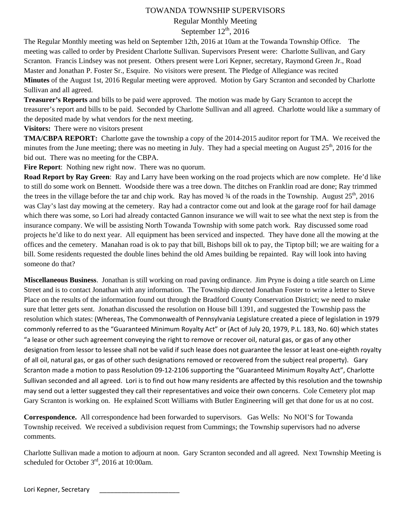Regular Monthly Meeting

# September  $12<sup>th</sup>$ , 2016

The Regular Monthly meeting was held on September 12th, 2016 at 10am at the Towanda Township Office. The meeting was called to order by President Charlotte Sullivan. Supervisors Present were: Charlotte Sullivan, and Gary Scranton. Francis Lindsey was not present. Others present were Lori Kepner, secretary, Raymond Green Jr., Road Master and Jonathan P. Foster Sr., Esquire. No visitors were present. The Pledge of Allegiance was recited **Minutes** of the August 1st, 2016 Regular meeting were approved. Motion by Gary Scranton and seconded by Charlotte Sullivan and all agreed.

**Treasurer's Reports** and bills to be paid were approved. The motion was made by Gary Scranton to accept the treasurer's report and bills to be paid. Seconded by Charlotte Sullivan and all agreed. Charlotte would like a summary of the deposited made by what vendors for the next meeting.

**Visitors:** There were no visitors present

**TMA/CBPA REPORT:** Charlotte gave the township a copy of the 2014-2015 auditor report for TMA. We received the minutes from the June meeting; there was no meeting in July. They had a special meeting on August  $25<sup>th</sup>$ , 2016 for the bid out. There was no meeting for the CBPA.

**Fire Report**: Nothing new right now. There was no quorum.

**Road Report by Ray Green**: Ray and Larry have been working on the road projects which are now complete. He'd like to still do some work on Bennett. Woodside there was a tree down. The ditches on Franklin road are done; Ray trimmed the trees in the village before the tar and chip work. Ray has moved  $\frac{3}{4}$  of the roads in the Township. August  $25^{th}$ , 2016 was Clay's last day mowing at the cemetery. Ray had a contractor come out and look at the garage roof for hail damage which there was some, so Lori had already contacted Gannon insurance we will wait to see what the next step is from the insurance company. We will be assisting North Towanda Township with some patch work. Ray discussed some road projects he'd like to do next year. All equipment has been serviced and inspected. They have done all the mowing at the offices and the cemetery. Manahan road is ok to pay that bill, Bishops bill ok to pay, the Tiptop bill; we are waiting for a bill. Some residents requested the double lines behind the old Ames building be repainted. Ray will look into having someone do that?

**Miscellaneous Business**. Jonathan is still working on road paving ordinance. Jim Pryne is doing a title search on Lime Street and is to contact Jonathan with any information. The Township directed Jonathan Foster to write a letter to Steve Place on the results of the information found out through the Bradford County Conservation District; we need to make sure that letter gets sent. Jonathan discussed the resolution on House bill 1391, and suggested the Township pass the resolution which states: (Whereas, The Commonwealth of Pennsylvania Legislature created a piece of legislation in 1979 commonly referred to as the "Guaranteed Minimum Royalty Act" or (Act of July 20, 1979, P.L. 183, No. 60) which states "a lease or other such agreement conveying the right to remove or recover oil, natural gas, or gas of any other designation from lessor to lessee shall not be valid if such lease does not guarantee the lessor at least one‐eighth royalty of all oil, natural gas, or gas of other such designations removed or recovered from the subject real property). Gary Scranton made a motion to pass Resolution 09‐12‐2106 supporting the "Guaranteed Minimum Royalty Act", Charlotte Sullivan seconded and all agreed. Lori is to find out how many residents are affected by this resolution and the township may send out a letter suggested they call their representatives and voice their own concerns. Cole Cemetery plot map Gary Scranton is working on. He explained Scott Williams with Butler Engineering will get that done for us at no cost.

**Correspondence.** All correspondence had been forwarded to supervisors. Gas Wells: No NOI'S for Towanda Township received. We received a subdivision request from Cummings; the Township supervisors had no adverse comments.

Charlotte Sullivan made a motion to adjourn at noon. Gary Scranton seconded and all agreed. Next Township Meeting is scheduled for October  $3<sup>rd</sup>$ , 2016 at 10:00am.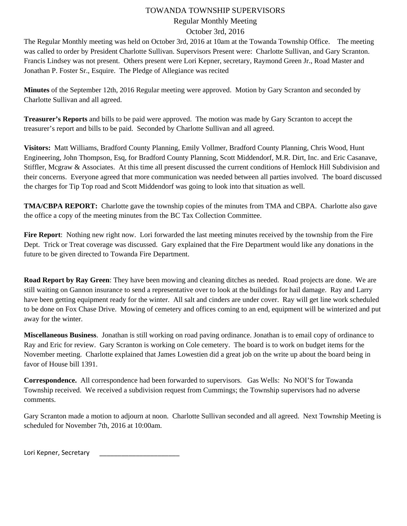## Regular Monthly Meeting

#### October 3rd, 2016

The Regular Monthly meeting was held on October 3rd, 2016 at 10am at the Towanda Township Office. The meeting was called to order by President Charlotte Sullivan. Supervisors Present were: Charlotte Sullivan, and Gary Scranton. Francis Lindsey was not present. Others present were Lori Kepner, secretary, Raymond Green Jr., Road Master and Jonathan P. Foster Sr., Esquire. The Pledge of Allegiance was recited

**Minutes** of the September 12th, 2016 Regular meeting were approved. Motion by Gary Scranton and seconded by Charlotte Sullivan and all agreed.

**Treasurer's Reports** and bills to be paid were approved. The motion was made by Gary Scranton to accept the treasurer's report and bills to be paid. Seconded by Charlotte Sullivan and all agreed.

**Visitors:** Matt Williams, Bradford County Planning, Emily Vollmer, Bradford County Planning, Chris Wood, Hunt Engineering, John Thompson, Esq, for Bradford County Planning, Scott Middendorf, M.R. Dirt, Inc. and Eric Casanave, Stiffler, Mcgraw & Associates. At this time all present discussed the current conditions of Hemlock Hill Subdivision and their concerns. Everyone agreed that more communication was needed between all parties involved. The board discussed the charges for Tip Top road and Scott Middendorf was going to look into that situation as well.

**TMA/CBPA REPORT:** Charlotte gave the township copies of the minutes from TMA and CBPA. Charlotte also gave the office a copy of the meeting minutes from the BC Tax Collection Committee.

**Fire Report**: Nothing new right now. Lori forwarded the last meeting minutes received by the township from the Fire Dept. Trick or Treat coverage was discussed. Gary explained that the Fire Department would like any donations in the future to be given directed to Towanda Fire Department.

**Road Report by Ray Green**: They have been mowing and cleaning ditches as needed. Road projects are done. We are still waiting on Gannon insurance to send a representative over to look at the buildings for hail damage. Ray and Larry have been getting equipment ready for the winter. All salt and cinders are under cover. Ray will get line work scheduled to be done on Fox Chase Drive. Mowing of cemetery and offices coming to an end, equipment will be winterized and put away for the winter.

**Miscellaneous Business**. Jonathan is still working on road paving ordinance. Jonathan is to email copy of ordinance to Ray and Eric for review. Gary Scranton is working on Cole cemetery. The board is to work on budget items for the November meeting. Charlotte explained that James Lowestien did a great job on the write up about the board being in favor of House bill 1391.

**Correspondence.** All correspondence had been forwarded to supervisors. Gas Wells: No NOI'S for Towanda Township received. We received a subdivision request from Cummings; the Township supervisors had no adverse comments.

Gary Scranton made a motion to adjourn at noon. Charlotte Sullivan seconded and all agreed. Next Township Meeting is scheduled for November 7th, 2016 at 10:00am.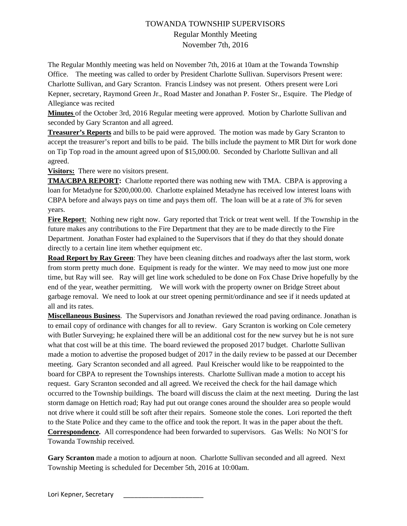# TOWANDA TOWNSHIP SUPERVISORS Regular Monthly Meeting November 7th, 2016

The Regular Monthly meeting was held on November 7th, 2016 at 10am at the Towanda Township Office. The meeting was called to order by President Charlotte Sullivan. Supervisors Present were: Charlotte Sullivan, and Gary Scranton. Francis Lindsey was not present. Others present were Lori Kepner, secretary, Raymond Green Jr., Road Master and Jonathan P. Foster Sr., Esquire. The Pledge of Allegiance was recited

**Minutes** of the October 3rd, 2016 Regular meeting were approved. Motion by Charlotte Sullivan and seconded by Gary Scranton and all agreed.

**Treasurer's Reports** and bills to be paid were approved. The motion was made by Gary Scranton to accept the treasurer's report and bills to be paid. The bills include the payment to MR Dirt for work done on Tip Top road in the amount agreed upon of \$15,000.00. Seconded by Charlotte Sullivan and all agreed.

**Visitors:** There were no visitors present.

**TMA/CBPA REPORT:** Charlotte reported there was nothing new with TMA. CBPA is approving a loan for Metadyne for \$200,000.00. Charlotte explained Metadyne has received low interest loans with CBPA before and always pays on time and pays them off. The loan will be at a rate of 3% for seven years.

**Fire Report**: Nothing new right now. Gary reported that Trick or treat went well. If the Township in the future makes any contributions to the Fire Department that they are to be made directly to the Fire Department. Jonathan Foster had explained to the Supervisors that if they do that they should donate directly to a certain line item whether equipment etc.

**Road Report by Ray Green**: They have been cleaning ditches and roadways after the last storm, work from storm pretty much done. Equipment is ready for the winter. We may need to mow just one more time, but Ray will see. Ray will get line work scheduled to be done on Fox Chase Drive hopefully by the end of the year, weather permitting. We will work with the property owner on Bridge Street about garbage removal. We need to look at our street opening permit/ordinance and see if it needs updated at all and its rates.

**Miscellaneous Business**. The Supervisors and Jonathan reviewed the road paving ordinance. Jonathan is to email copy of ordinance with changes for all to review. Gary Scranton is working on Cole cemetery with Butler Surveying; he explained there will be an additional cost for the new survey but he is not sure what that cost will be at this time. The board reviewed the proposed 2017 budget. Charlotte Sullivan made a motion to advertise the proposed budget of 2017 in the daily review to be passed at our December meeting. Gary Scranton seconded and all agreed. Paul Kreischer would like to be reappointed to the board for CBPA to represent the Townships interests. Charlotte Sullivan made a motion to accept his request. Gary Scranton seconded and all agreed. We received the check for the hail damage which occurred to the Township buildings. The board will discuss the claim at the next meeting. During the last storm damage on Hettich road; Ray had put out orange cones around the shoulder area so people would not drive where it could still be soft after their repairs. Someone stole the cones. Lori reported the theft to the State Police and they came to the office and took the report. It was in the paper about the theft. **Correspondence.** All correspondence had been forwarded to supervisors. Gas Wells: No NOI'S for Towanda Township received.

**Gary Scranton** made a motion to adjourn at noon. Charlotte Sullivan seconded and all agreed. Next Township Meeting is scheduled for December 5th, 2016 at 10:00am.